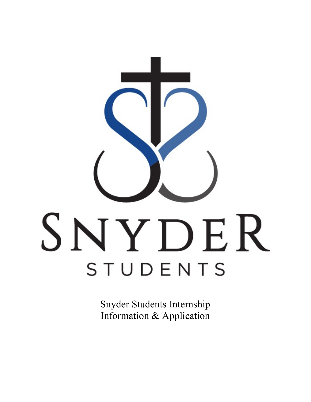

Snyder Students Internship Information & Application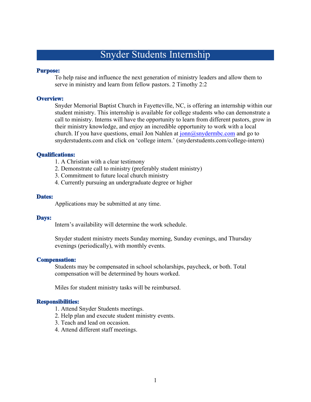## Snyder Students Internship

## **Purpose:**

To help raise and influence the next generation of ministry leaders and allow them to serve in ministry and learn from fellow pastors. 2 Timothy 2:2

## **Overview:**

Snyder Memorial Baptist Church in Fayetteville, NC, is offering an internship within our student ministry. This internship is available for college students who can demonstrate a call to ministry. Interns will have the opportunity to learn from different pastors, grow in their ministry knowledge, and enjoy an incredible opportunity to work with a local church. If you have questions, email Jon Nahlen at  $\overline{\text{ionn}(a)}$  snydermbc.com and go to snyderstudents.com and click on 'college intern.' (snyderstudents.com/college-intern)

## **Oualifications:**

- 1. A Christian with a clear testimony
- 2. Demonstrate call to ministry (preferably student ministry)
- 3. Commitment to future local church ministry
- 4. Currently pursuing an undergraduate degree or higher

## Dates:

Applications may be submitted at any time.

#### Days:

Intern's availability will determine the work schedule.

Snyder student ministry meets Sunday morning, Sunday evenings, and Thursday evenings (periodically), with monthly events.

## **Compensation:**

Students may be compensated in school scholarships, paycheck, or both. Total compensation will be determined by hours worked.

Miles for student ministry tasks will be reimbursed.

## **Responsibilities:**

- 1. Attend Snyder Students meetings.
- 2. Help plan and execute student ministry events.
- 3. Teach and lead on occasion.
- 4. Attend different staff meetings.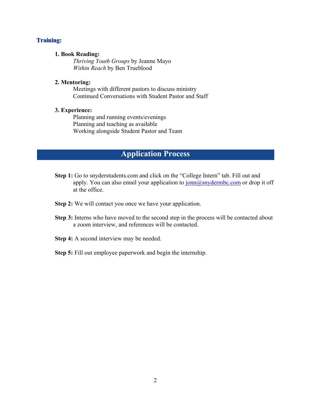## **Training:**

## **1. Book Reading:**

*Thriving Youth Groups* by Jeanne Mayo *Within Reach* by Ben Trueblood

## **2. Mentoring:**

Meetings with different pastors to discuss ministry Continued Conversations with Student Pastor and Staff

## **3. Experience:**

Planning and running events/evenings Planning and teaching as available Working alongside Student Pastor and Team

## **Application Process**

- **Step 1:** Go to snyderstudents.com and click on the "College Intern" tab. Fill out and apply. You can also email your application to  $\frac{\text{ionn}(a)$ snydermbc.com or drop it off at the office.
- **Step 2:** We will contact you once we have your application.
- **Step 3:** Interns who have moved to the second step in the process will be contacted about a zoom interview, and references will be contacted.
- **Step 4:** A second interview may be needed.
- **Step 5:** Fill out employee paperwork and begin the internship.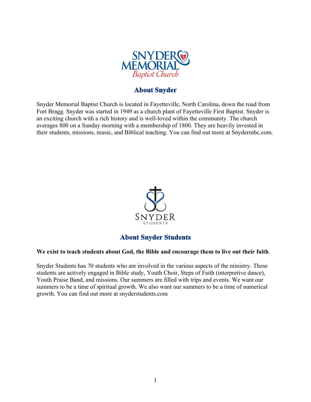

## **About Snyder**

Snyder Memorial Baptist Church is located in Fayetteville, North Carolina, down the road from Fort Bragg. Snyder was started in 1949 as a church plant of Fayetteville First Baptist. Snyder is an exciting church with a rich history and is well-loved within the community. The church averages 800 on a Sunday morning with a membership of 1800. They are heavily invested in their students, missions, music, and Biblical teaching. You can find out more at Snydermbc.com.



## **About Snyder Students**

## **We exist to teach students about God, the Bible and encourage them to live out their faith**.

Snyder Students has 70 students who are involved in the various aspects of the ministry. These students are actively engaged in Bible study, Youth Choir, Steps of Faith (interpretive dance), Youth Praise Band, and missions. Our summers are filled with trips and events. We want our summers to be a time of spiritual growth. We also want our summers to be a time of numerical growth. You can find out more at snyderstudents.com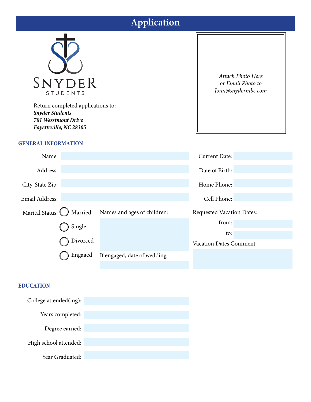# **Application**



Return completed applications to: *Snyder Students 701 Wesstmont Drive Fayetteville, NC 28305*

## **GENERAL INFORMATION**

*Attach Photo Here or Email Photo to Jonn@snydermbc.com*

| Name:                   |          |                              | <b>Current Date:</b>             |  |
|-------------------------|----------|------------------------------|----------------------------------|--|
| Address:                |          |                              | Date of Birth:                   |  |
| City, State Zip:        |          |                              | Home Phone:                      |  |
| Email Address:          |          |                              | Cell Phone:                      |  |
| Marital Status: Married |          | Names and ages of children:  | <b>Requested Vacation Dates:</b> |  |
|                         |          |                              | from:                            |  |
|                         | Single   |                              | to:                              |  |
|                         | Divorced |                              | <b>Vacation Dates Comment:</b>   |  |
|                         | Engaged  | If engaged, date of wedding: |                                  |  |
|                         |          |                              |                                  |  |

## **EDUCATION**

| College attended(ing): |  |
|------------------------|--|
| Years completed:       |  |
| Degree earned:         |  |
| High school attended:  |  |
| Year Graduated:        |  |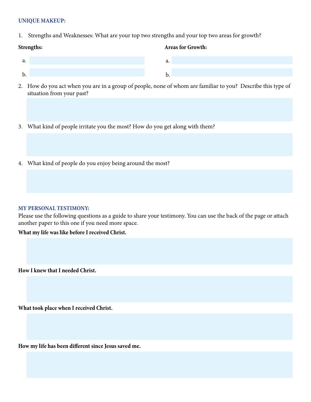## **UNIQUE MAKEUP:**

1. Strengths and Weaknesses: What are your top two strengths and your top two areas for growth?

## **Strengths: Areas for Growth:**

- 2. How do you act when you are in a group of people, none of whom are familiar to you? Describe this type of situation from your past?
- 3. What kind of people irritate you the most? How do you get along with them?
- 4. What kind of people do you enjoy being around the most?

## **MY PERSONAL TESTIMONY:**

Please use the following questions as a guide to share your testimony. You can use the back of the page or attach another paper to this one if you need more space.

## **What my life was like before I received Christ.**

**How I knew that I needed Christ.**

**What took place when I received Christ.**

**How my life has been different since Jesus saved me.**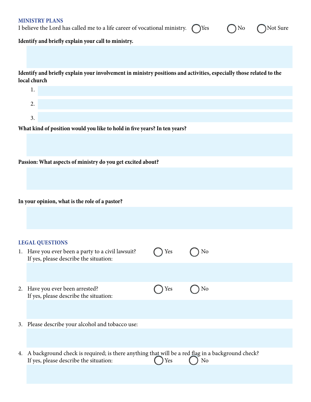| <b>MINISTRY PLANS</b><br>Not Sure<br>I believe the Lord has called me to a life career of vocational ministry.<br>Yes<br>No         |                                                                                                                                               |     |    |  |  |  |  |  |  |
|-------------------------------------------------------------------------------------------------------------------------------------|-----------------------------------------------------------------------------------------------------------------------------------------------|-----|----|--|--|--|--|--|--|
|                                                                                                                                     | Identify and briefly explain your call to ministry.                                                                                           |     |    |  |  |  |  |  |  |
|                                                                                                                                     |                                                                                                                                               |     |    |  |  |  |  |  |  |
| Identify and briefly explain your involvement in ministry positions and activities, especially those related to the<br>local church |                                                                                                                                               |     |    |  |  |  |  |  |  |
|                                                                                                                                     | 1.                                                                                                                                            |     |    |  |  |  |  |  |  |
|                                                                                                                                     | 2.                                                                                                                                            |     |    |  |  |  |  |  |  |
|                                                                                                                                     | 3.                                                                                                                                            |     |    |  |  |  |  |  |  |
| What kind of position would you like to hold in five years? In ten years?                                                           |                                                                                                                                               |     |    |  |  |  |  |  |  |
|                                                                                                                                     |                                                                                                                                               |     |    |  |  |  |  |  |  |
|                                                                                                                                     | Passion: What aspects of ministry do you get excited about?                                                                                   |     |    |  |  |  |  |  |  |
|                                                                                                                                     |                                                                                                                                               |     |    |  |  |  |  |  |  |
|                                                                                                                                     |                                                                                                                                               |     |    |  |  |  |  |  |  |
|                                                                                                                                     | In your opinion, what is the role of a pastor?                                                                                                |     |    |  |  |  |  |  |  |
|                                                                                                                                     |                                                                                                                                               |     |    |  |  |  |  |  |  |
|                                                                                                                                     |                                                                                                                                               |     |    |  |  |  |  |  |  |
|                                                                                                                                     | <b>LEGAL QUESTIONS</b>                                                                                                                        |     |    |  |  |  |  |  |  |
|                                                                                                                                     | 1. Have you ever been a party to a civil lawsuit?<br>If yes, please describe the situation:                                                   | Yes | No |  |  |  |  |  |  |
|                                                                                                                                     |                                                                                                                                               |     |    |  |  |  |  |  |  |
|                                                                                                                                     |                                                                                                                                               |     |    |  |  |  |  |  |  |
| 2.                                                                                                                                  | Have you ever been arrested?<br>If yes, please describe the situation:                                                                        | Yes | No |  |  |  |  |  |  |
|                                                                                                                                     |                                                                                                                                               |     |    |  |  |  |  |  |  |
|                                                                                                                                     | 3. Please describe your alcohol and tobacco use:                                                                                              |     |    |  |  |  |  |  |  |
|                                                                                                                                     |                                                                                                                                               |     |    |  |  |  |  |  |  |
|                                                                                                                                     |                                                                                                                                               |     |    |  |  |  |  |  |  |
|                                                                                                                                     | 4. A background check is required; is there anything that will be a red flag in a background check?<br>If yes, please describe the situation: | Yes | No |  |  |  |  |  |  |
|                                                                                                                                     |                                                                                                                                               |     |    |  |  |  |  |  |  |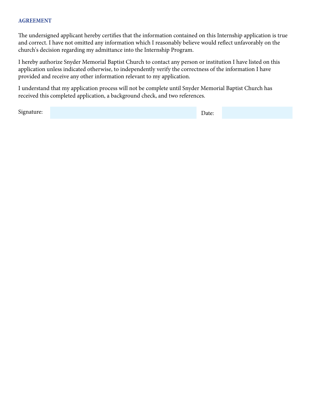## **AGREEMENT**

The undersigned applicant hereby certifies that the information contained on this Internship application is true and correct. I have not omitted any information which I reasonably believe would reflect unfavorably on the church's decision regarding my admittance into the Internship Program.

I hereby authorize Snyder Memorial Baptist Church to contact any person or institution I have listed on this application unless indicated otherwise, to independently verify the correctness of the information I have provided and receive any other information relevant to my application.

I understand that my application process will not be complete until Snyder Memorial Baptist Church has received this completed application, a background check, and two references.

Signature: Executive Signature: Executive Signature: Executive Signature: Executive Signature: Executive Signature: Executive Signature: Executive Signature: Executive Signature: Executive Signature: Executive Signature: E